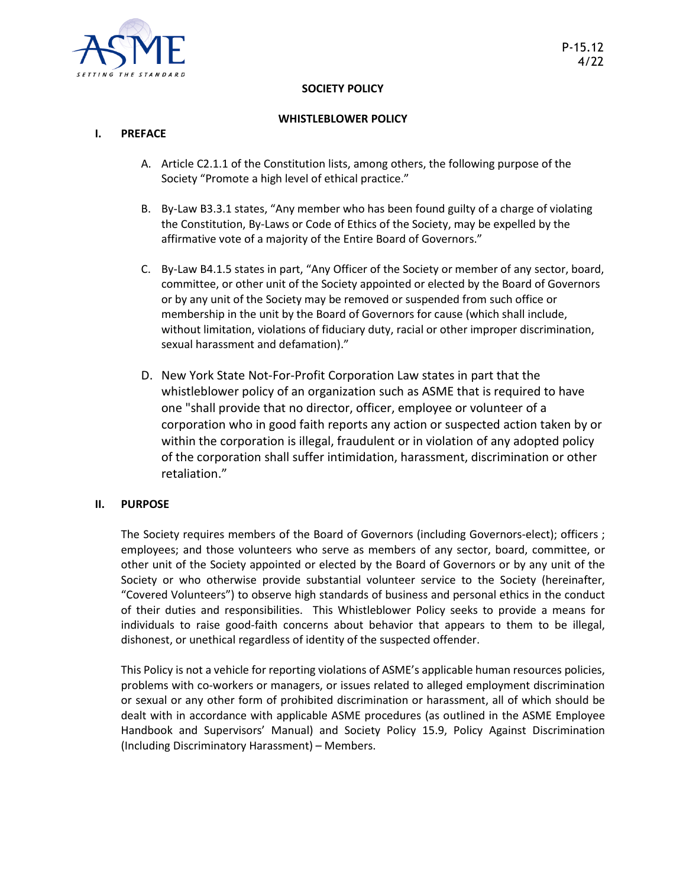

### **SOCIETY POLICY**

### **WHISTLEBLOWER POLICY**

### **I. PREFACE**

- A. Article C2.1.1 of the Constitution lists, among others, the following purpose of the Society "Promote a high level of ethical practice."
- B. By-Law B3.3.1 states, "Any member who has been found guilty of a charge of violating the Constitution, By-Laws or Code of Ethics of the Society, may be expelled by the affirmative vote of a majority of the Entire Board of Governors."
- C. By-Law B4.1.5 states in part, "Any Officer of the Society or member of any sector, board, committee, or other unit of the Society appointed or elected by the Board of Governors or by any unit of the Society may be removed or suspended from such office or membership in the unit by the Board of Governors for cause (which shall include, without limitation, violations of fiduciary duty, racial or other improper discrimination, sexual harassment and defamation)."
- D. New York State Not-For-Profit Corporation Law states in part that the whistleblower policy of an organization such as ASME that is required to have one "shall provide that no director, officer, employee or volunteer of a corporation who in good faith reports any action or suspected action taken by or within the corporation is illegal, fraudulent or in violation of any adopted policy of the corporation shall suffer intimidation, harassment, discrimination or other retaliation."

### **II. PURPOSE**

The Society requires members of the Board of Governors (including Governors-elect); officers ; employees; and those volunteers who serve as members of any sector, board, committee, or other unit of the Society appointed or elected by the Board of Governors or by any unit of the Society or who otherwise provide substantial volunteer service to the Society (hereinafter, "Covered Volunteers") to observe high standards of business and personal ethics in the conduct of their duties and responsibilities. This Whistleblower Policy seeks to provide a means for individuals to raise good-faith concerns about behavior that appears to them to be illegal, dishonest, or unethical regardless of identity of the suspected offender.

This Policy is not a vehicle for reporting violations of ASME's applicable human resources policies, problems with co-workers or managers, or issues related to alleged employment discrimination or sexual or any other form of prohibited discrimination or harassment, all of which should be dealt with in accordance with applicable ASME procedures (as outlined in the ASME Employee Handbook and Supervisors' Manual) and Society Policy 15.9, Policy Against Discrimination (Including Discriminatory Harassment) – Members.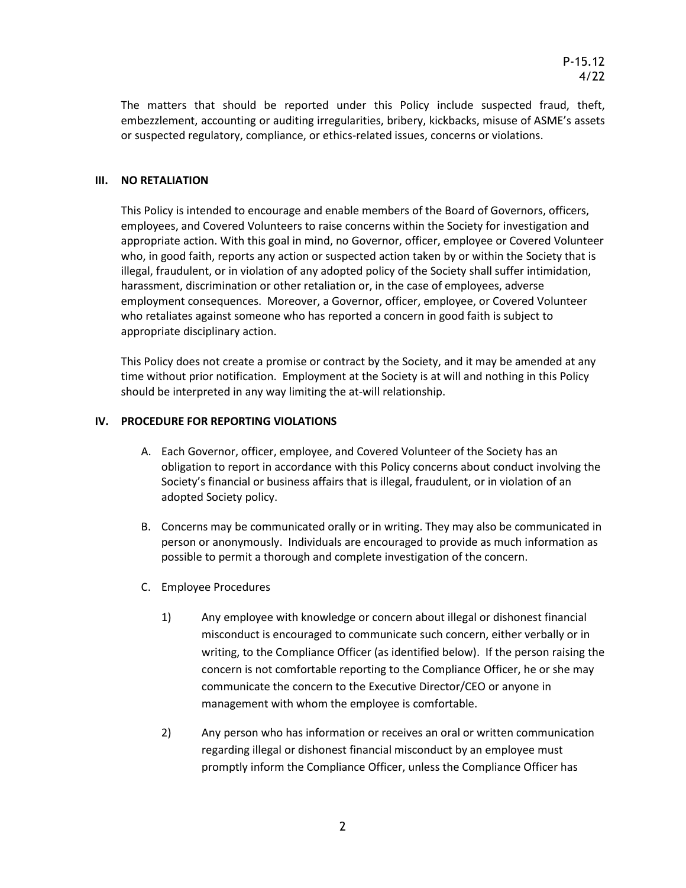The matters that should be reported under this Policy include suspected fraud, theft, embezzlement, accounting or auditing irregularities, bribery, kickbacks, misuse of ASME's assets or suspected regulatory, compliance, or ethics-related issues, concerns or violations.

## **III. NO RETALIATION**

This Policy is intended to encourage and enable members of the Board of Governors, officers, employees, and Covered Volunteers to raise concerns within the Society for investigation and appropriate action. With this goal in mind, no Governor, officer, employee or Covered Volunteer who, in good faith, reports any action or suspected action taken by or within the Society that is illegal, fraudulent, or in violation of any adopted policy of the Society shall suffer intimidation, harassment, discrimination or other retaliation or, in the case of employees, adverse employment consequences. Moreover, a Governor, officer, employee, or Covered Volunteer who retaliates against someone who has reported a concern in good faith is subject to appropriate disciplinary action.

This Policy does not create a promise or contract by the Society, and it may be amended at any time without prior notification. Employment at the Society is at will and nothing in this Policy should be interpreted in any way limiting the at-will relationship.

### **IV. PROCEDURE FOR REPORTING VIOLATIONS**

- A. Each Governor, officer, employee, and Covered Volunteer of the Society has an obligation to report in accordance with this Policy concerns about conduct involving the Society's financial or business affairs that is illegal, fraudulent, or in violation of an adopted Society policy.
- B. Concerns may be communicated orally or in writing. They may also be communicated in person or anonymously. Individuals are encouraged to provide as much information as possible to permit a thorough and complete investigation of the concern.
- C. Employee Procedures
	- 1) Any employee with knowledge or concern about illegal or dishonest financial misconduct is encouraged to communicate such concern, either verbally or in writing, to the Compliance Officer (as identified below). If the person raising the concern is not comfortable reporting to the Compliance Officer, he or she may communicate the concern to the Executive Director/CEO or anyone in management with whom the employee is comfortable.
	- 2) Any person who has information or receives an oral or written communication regarding illegal or dishonest financial misconduct by an employee must promptly inform the Compliance Officer, unless the Compliance Officer has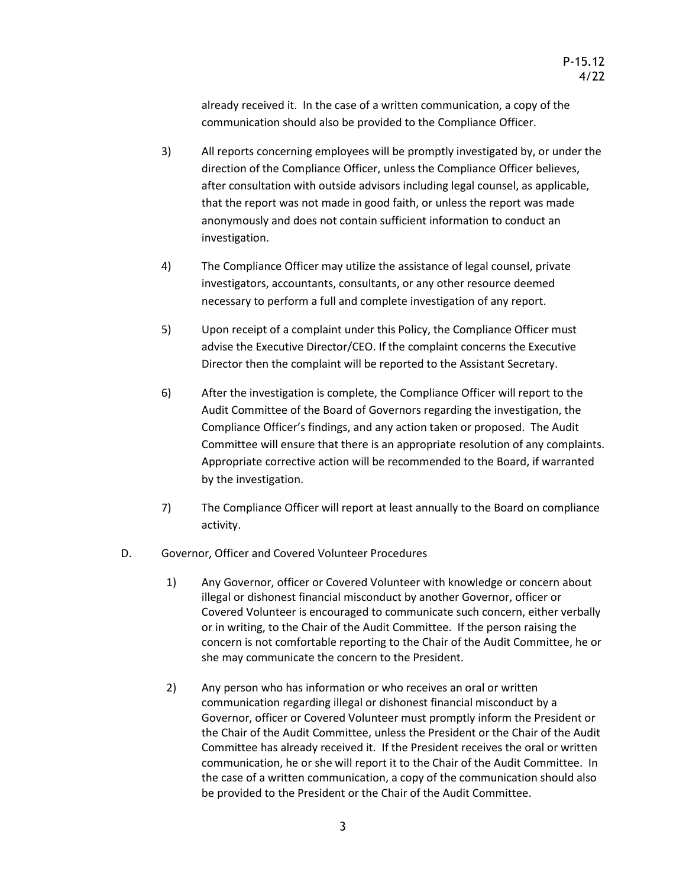already received it. In the case of a written communication, a copy of the communication should also be provided to the Compliance Officer.

- 3) All reports concerning employees will be promptly investigated by, or under the direction of the Compliance Officer, unless the Compliance Officer believes, after consultation with outside advisors including legal counsel, as applicable, that the report was not made in good faith, or unless the report was made anonymously and does not contain sufficient information to conduct an investigation.
- 4) The Compliance Officer may utilize the assistance of legal counsel, private investigators, accountants, consultants, or any other resource deemed necessary to perform a full and complete investigation of any report.
- 5) Upon receipt of a complaint under this Policy, the Compliance Officer must advise the Executive Director/CEO. If the complaint concerns the Executive Director then the complaint will be reported to the Assistant Secretary.
- 6) After the investigation is complete, the Compliance Officer will report to the Audit Committee of the Board of Governors regarding the investigation, the Compliance Officer's findings, and any action taken or proposed. The Audit Committee will ensure that there is an appropriate resolution of any complaints. Appropriate corrective action will be recommended to the Board, if warranted by the investigation.
- 7) The Compliance Officer will report at least annually to the Board on compliance activity.
- D. Governor, Officer and Covered Volunteer Procedures
	- 1) Any Governor, officer or Covered Volunteer with knowledge or concern about illegal or dishonest financial misconduct by another Governor, officer or Covered Volunteer is encouraged to communicate such concern, either verbally or in writing, to the Chair of the Audit Committee. If the person raising the concern is not comfortable reporting to the Chair of the Audit Committee, he or she may communicate the concern to the President.
	- 2) Any person who has information or who receives an oral or written communication regarding illegal or dishonest financial misconduct by a Governor, officer or Covered Volunteer must promptly inform the President or the Chair of the Audit Committee, unless the President or the Chair of the Audit Committee has already received it. If the President receives the oral or written communication, he or she will report it to the Chair of the Audit Committee. In the case of a written communication, a copy of the communication should also be provided to the President or the Chair of the Audit Committee.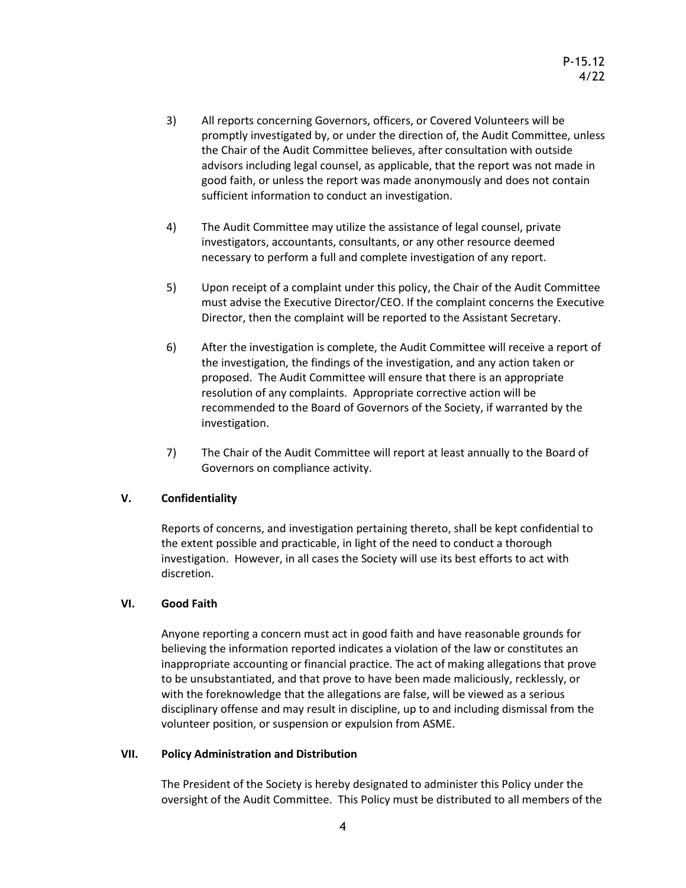- 3) All reports concerning Governors, officers, or Covered Volunteers will be promptly investigated by, or under the direction of, the Audit Committee, unless the Chair of the Audit Committee believes, after consultation with outside advisors including legal counsel, as applicable, that the report was not made in good faith, or unless the report was made anonymously and does not contain sufficient information to conduct an investigation.
- 4) The Audit Committee may utilize the assistance of legal counsel, private investigators, accountants, consultants, or any other resource deemed necessary to perform a full and complete investigation of any report.
- 5) Upon receipt of a complaint under this policy, the Chair of the Audit Committee must advise the Executive Director/CEO. If the complaint concerns the Executive Director, then the complaint will be reported to the Assistant Secretary.
- 6) After the investigation is complete, the Audit Committee will receive a report of the investigation, the findings of the investigation, and any action taken or proposed. The Audit Committee will ensure that there is an appropriate resolution of any complaints. Appropriate corrective action will be recommended to the Board of Governors of the Society, if warranted by the investigation.
- 7) The Chair of the Audit Committee will report at least annually to the Board of Governors on compliance activity.

# **V. Confidentiality**

Reports of concerns, and investigation pertaining thereto, shall be kept confidential to the extent possible and practicable, in light of the need to conduct a thorough investigation. However, in all cases the Society will use its best efforts to act with discretion.

# **VI. Good Faith**

Anyone reporting a concern must act in good faith and have reasonable grounds for believing the information reported indicates a violation of the law or constitutes an inappropriate accounting or financial practice. The act of making allegations that prove to be unsubstantiated, and that prove to have been made maliciously, recklessly, or with the foreknowledge that the allegations are false, will be viewed as a serious disciplinary offense and may result in discipline, up to and including dismissal from the volunteer position, or suspension or expulsion from ASME.

# **VII. Policy Administration and Distribution**

The President of the Society is hereby designated to administer this Policy under the oversight of the Audit Committee. This Policy must be distributed to all members of the